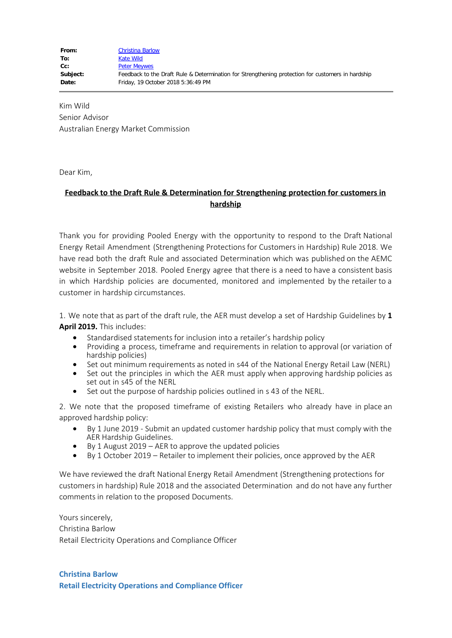Kim Wild Senior Advisor Australian Energy Market Commission

Dear Kim,

## **Feedback to the Draft Rule & Determination for Strengthening protection for customers in hardship**

Thank you for providing Pooled Energy with the opportunity to respond to the Draft National Energy Retail Amendment (Strengthening Protections for Customers in Hardship) Rule 2018. We have read both the draft Rule and associated Determination which was published on the AEMC website in September 2018. Pooled Energy agree that there is a need to have a consistent basis in which Hardship policies are documented, monitored and implemented by the retailer to a customer in hardship circumstances.

1. We note that as part of the draft rule, the AER must develop a set of Hardship Guidelines by **1 April 2019.** This includes:

- · Standardised statements for inclusion into a retailer's hardship policy
- · Providing a process, timeframe and requirements in relation to approval (or variation of hardship policies)
- Set out minimum requirements as noted in s44 of the National Energy Retail Law (NERL)
- Set out the principles in which the AER must apply when approving hardship policies as set out in s45 of the NERL
- Set out the purpose of hardship policies outlined in s 43 of the NERL.

2. We note that the proposed timeframe of existing Retailers who already have in place an approved hardship policy:

- By 1 June 2019 Submit an updated customer hardship policy that must comply with the AER Hardship Guidelines.
- By 1 August  $2019 AER$  to approve the updated policies
- · By 1 October 2019 Retailer to implement their policies, once approved by the AER

We have reviewed the draft National Energy Retail Amendment (Strengthening protections for customers in hardship) Rule 2018 and the associated Determination and do not have any further comments in relation to the proposed Documents.

Yours sincerely, Christina Barlow Retail Electricity Operations and Compliance Officer

**Christina Barlow Retail Electricity Operations and Compliance Officer**